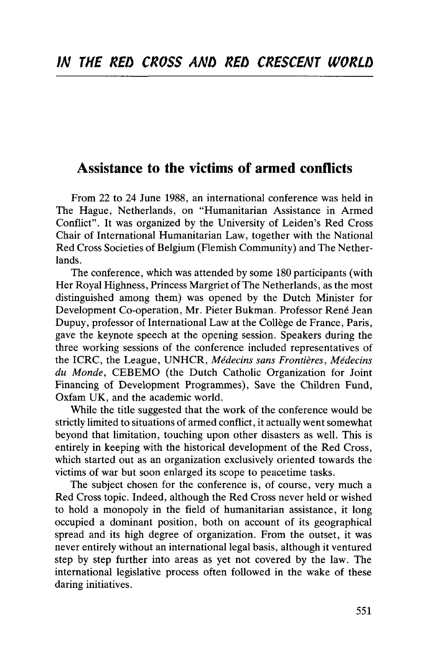## Assistance to the victims of armed conflicts

From 22 to 24 June 1988, an international conference was held in The Hague, Netherlands, on "Humanitarian Assistance in Armed Conflict". It was organized by the University of Leiden's Red Cross Chair of International Humanitarian Law, together with the National Red Cross Societies of Belgium (Flemish Community) and The Netherlands.

The conference, which was attended by some 180 participants (with Her Royal Highness, Princess Margriet of The Netherlands, as the most distinguished among them) was opened by the Dutch Minister for Development Co-operation, Mr. Pieter Bukman. Professor René Jean Dupuy, professor of International Law at the College de France, Paris, gave the keynote speech at the opening session. Speakers during the three working sessions of the conference included representatives of the ICRC, the League, UNHCR, *Medecins sans Frontieres, Medecins du Monde,* CEBEMO (the Dutch Catholic Organization for Joint Financing of Development Programmes), Save the Children Fund, Oxfam UK, and the academic world.

While the title suggested that the work of the conference would be strictly limited to situations of armed conflict, it actually went somewhat beyond that limitation, touching upon other disasters as well. This is entirely in keeping with the historical development of the Red Cross, which started out as an organization exclusively oriented towards the victims of war but soon enlarged its scope to peacetime tasks.

The subject chosen for the conference is, of course, very much a Red Cross topic. Indeed, although the Red Cross never held or wished to hold a monopoly in the field of humanitarian assistance, it long occupied a dominant position, both on account of its geographical spread and its high degree of organization. From the outset, it was never entirely without an international legal basis, although it ventured step by step further into areas as yet not covered by the law. The international legislative process often followed in the wake of these daring initiatives.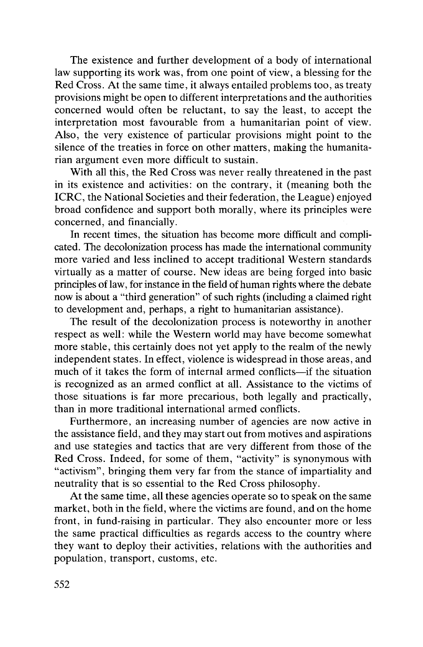The existence and further development of a body of international law supporting its work was, from one point of view, a blessing for the Red Cross. At the same time, it always entailed problems too, as treaty provisions might be open to different interpretations and the authorities concerned would often be reluctant, to say the least, to accept the interpretation most favourable from a humanitarian point of view. Also, the very existence of particular provisions might point to the silence of the treaties in force on other matters, making the humanitarian argument even more difficult to sustain.

With all this, the Red Cross was never really threatened in the past in its existence and activities: on the contrary, it (meaning both the ICRC, the National Societies and their federation, the League) enjoyed broad confidence and support both morally, where its principles were concerned, and financially.

In recent times, the situation has become more difficult and complicated. The decolonization process has made the international community more varied and less inclined to accept traditional Western standards virtually as a matter of course. New ideas are being forged into basic principles of law, for instance in the field of human rights where the debate now is about a "third generation" of such rights (including a claimed right to development and, perhaps, a right to humanitarian assistance).

The result of the decolonization process is noteworthy in another respect as well: while the Western world may have become somewhat more stable, this certainly does not yet apply to the realm of the newly independent states. In effect, violence is widespread in those areas, and much of it takes the form of internal armed conflicts—if the situation is recognized as an armed conflict at all. Assistance to the victims of those situations is far more precarious, both legally and practically, than in more traditional international armed conflicts.

Furthermore, an increasing number of agencies are now active in the assistance field, and they may start out from motives and aspirations and use stategies and tactics that are very different from those of the Red Cross. Indeed, for some of them, "activity" is synonymous with "activism", bringing them very far from the stance of impartiality and neutrality that is so essential to the Red Cross philosophy.

At the same time, all these agencies operate so to speak on the same market, both in the field, where the victims are found, and on the home front, in fund-raising in particular. They also encounter more or less the same practical difficulties as regards access to the country where they want to deploy their activities, relations with the authorities and population, transport, customs, etc.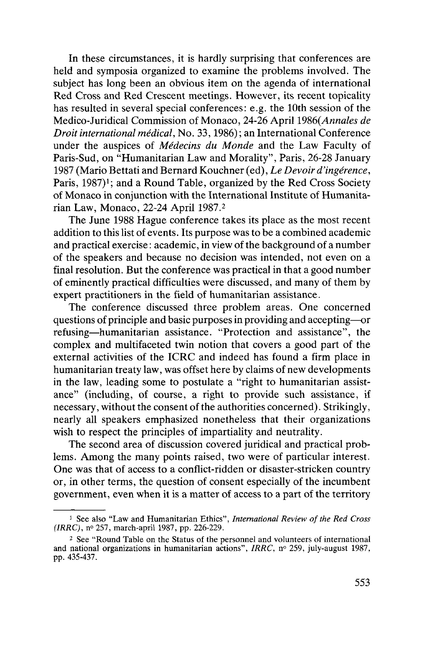In these circumstances, it is hardly surprising that conferences are held and symposia organized to examine the problems involved. The subject has long been an obvious item on the agenda of international Red Cross and Red Crescent meetings. However, its recent topicality has resulted in several special conferences: e.g. the 10th session of the Medico-Juridical Commission of Monaco, 24-26 April *1986(Annales de Droit international medical,* No. 33,1986); an International Conference under the auspices of *Medecins du Monde* and the Law Faculty of Paris-Sud, on "Humanitarian Law and Morality", Paris, 26-28 January 1987 (Mario Bettati and Bernard Kouchner (ed), *Le Devoir d'ingerence,* Paris, 1987)<sup>1</sup>; and a Round Table, organized by the Red Cross Society of Monaco in conjunction with the International Institute of Humanitarian Law, Monaco, 22-24 April 1987.2

The June 1988 Hague conference takes its place as the most recent addition to this list of events. Its purpose was to be a combined academic and practical exercise: academic, in view of the background of a number of the speakers and because no decision was intended, not even on a final resolution. But the conference was practical in that a good number of eminently practical difficulties were discussed, and many of them by expert practitioners in the field of humanitarian assistance.

The conference discussed three problem areas. One concerned questions of principle and basic purposes in providing and accepting—or refusing—humanitarian assistance. "Protection and assistance", the complex and multifaceted twin notion that covers a good part of the external activities of the ICRC and indeed has found a firm place in humanitarian treaty law, was offset here by claims of new developments in the law, leading some to postulate a "right to humanitarian assistance" (including, of course, a right to provide such assistance, if necessary, without the consent of the authorities concerned). Strikingly, nearly all speakers emphasized nonetheless that their organizations wish to respect the principles of impartiality and neutrality.

The second area of discussion covered juridical and practical problems. Among the many points raised, two were of particular interest. One was that of access to a conflict-ridden or disaster-stricken country or, in other terms, the question of consent especially of the incumbent government, even when it is a matter of access to a part of the territory

<sup>1</sup> See also "Law and Humanitarian Ethics", *International Review of the Red Cross (IRRC),* n° 257, march-april 1987, pp. 226-229.

<sup>&</sup>lt;sup>2</sup> See "Round Table on the Status of the personnel and volunteers of international See The Status of the Status of the personnel and volume and national organizations in humanitarian actions", *IRRC*, n° 259, july-august 1987, pp. 435-437.